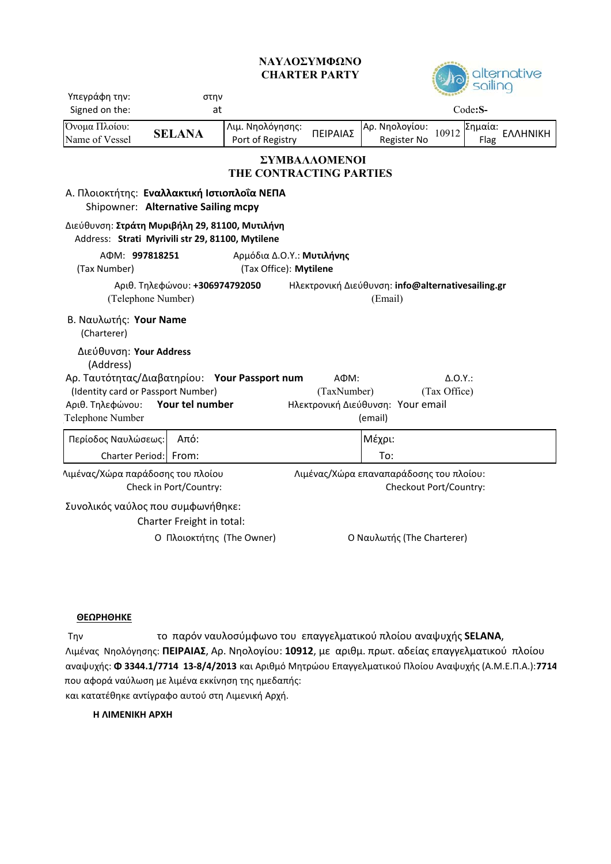## **CHARTER PARTY ΝΑΥΛΟΣΥΜΦΩΝΟ**



| Υπεγράφη την:<br>στην                                                                              |                           |                                      |                                                                   | <b>GRAND</b>                  |                 |                 |          |
|----------------------------------------------------------------------------------------------------|---------------------------|--------------------------------------|-------------------------------------------------------------------|-------------------------------|-----------------|-----------------|----------|
| Signed on the:<br>at                                                                               |                           |                                      | Code:S-                                                           |                               |                 |                 |          |
| Όνομα Πλοίου:<br>Name of Vessel                                                                    | <b>SELANA</b>             | Λιμ. Νηολόγησης:<br>Port of Registry | ΠΕΙΡΑΙΑΣ                                                          | Αρ. Νηολογίου:<br>Register No | 10912           | Σημαία:<br>Flag | ΕΛΛΗΝΙΚΗ |
| ΣΥΜΒΑΛΛΟΜΕΝΟΙ<br>THE CONTRACTING PARTIES                                                           |                           |                                      |                                                                   |                               |                 |                 |          |
| Α. Πλοιοκτήτης: Εναλλακτική Ιστιοπλοΐα ΝΕΠΑ<br>Shipowner: Alternative Sailing mcpy                 |                           |                                      |                                                                   |                               |                 |                 |          |
| Διεύθυνση: Στράτη Μυριβήλη 29, 81100, Μυτιλήνη<br>Address: Strati Myrivili str 29, 81100, Mytilene |                           |                                      |                                                                   |                               |                 |                 |          |
| AФM: 997818251<br>(Tax Number)                                                                     |                           |                                      | Αρμόδια Δ.Ο.Υ.: Μυτιλήνης<br>(Tax Office): Mytilene               |                               |                 |                 |          |
| Αριθ. Τηλεφώνου: +306974792050<br>(Telephone Number)                                               |                           |                                      | Ηλεκτρονική Διεύθυνση: info@alternativesailing.gr<br>(Email)      |                               |                 |                 |          |
| Β. Ναυλωτής: Your Name<br>(Charterer)                                                              |                           |                                      |                                                                   |                               |                 |                 |          |
| Διεύθυνση: Your Address<br>(Address)                                                               |                           |                                      |                                                                   |                               |                 |                 |          |
| Αρ. Ταυτότητας/Διαβατηρίου: Your Passport num                                                      |                           |                                      |                                                                   | AΦM:                          | $\Delta$ .O.Y.: |                 |          |
| (Identity card or Passport Number)                                                                 |                           |                                      | (TaxNumber)<br>(Tax Office)<br>Ηλεκτρονική Διεύθυνση: Your email  |                               |                 |                 |          |
| Your tel number<br>Αριθ. Τηλεφώνου:<br>Telephone Number                                            |                           |                                      |                                                                   | (email)                       |                 |                 |          |
| Περίοδος Ναυλώσεως:                                                                                | Από:                      |                                      |                                                                   | Μέχρι:                        |                 |                 |          |
| Charter Period: From:                                                                              |                           |                                      |                                                                   | To:                           |                 |                 |          |
| Λιμένας/Χώρα παράδοσης του πλοίου<br>Check in Port/Country:                                        |                           |                                      | Λιμένας/Χώρα επαναπαράδοσης του πλοίου:<br>Checkout Port/Country: |                               |                 |                 |          |
| Συνολικός ναύλος που συμφωνήθηκε:                                                                  | Charter Freight in total: |                                      |                                                                   |                               |                 |                 |          |
| Ο Πλοιοκτήτης (The Owner)                                                                          |                           |                                      |                                                                   | Ο Ναυλωτής (The Charterer)    |                 |                 |          |

## **ΘΕΩΡΗΘΗΚΕ**

Την το παρόν ναυλοσύμφωνο του επαγγελματικού πλοίου αναψυχής **SELANA**, Λιμένας Νηολόγησης: **ΠΕΙΡΑΙΑΣ**, Αρ. Νηολογίου: **10912**, με αριθμ. πρωτ. αδείας επαγγελματικού πλοίου αναψυχής: **Φ 3344.1/7714 13‐8/4/2013** και Αριθμό Μητρώου Επαγγελματικού Πλοίου Αναψυχής (A.M.Ε.Π.Α.):**7714** και κατατέθηκε αντίγραφο αυτού στη Λιμενική Αρχή. που αφορά ναύλωση με λιμένα εκκίνηση της ημεδαπής:

**Η ΛΙΜΕΝΙΚΗ ΑΡΧΗ**